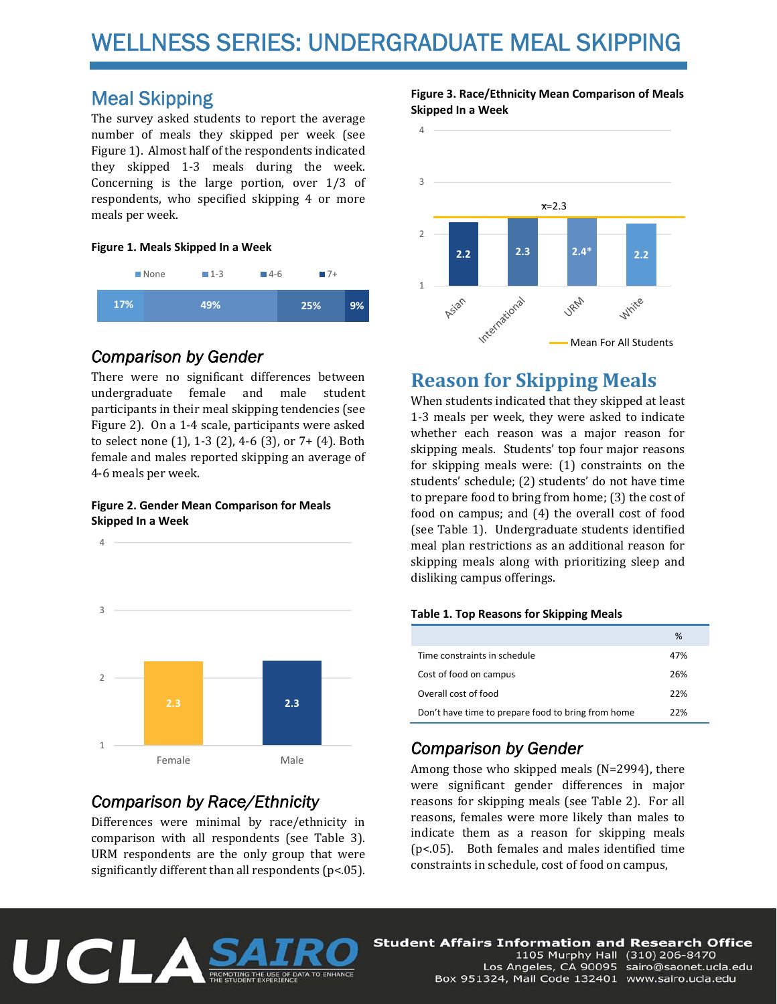# WELLNESS SERIES: UNDERGRADUATE MEAL SKIPPING

# Meal Skipping

The survey asked students to report the average number of meals they skipped per week (see Figure 1). Almost half of the respondents indicated they skipped 1-3 meals during the week. Concerning is the large portion, over  $1/3$  of respondents, who specified skipping 4 or more meals per week.

### **Figure 1. Meals Skipped In a Week**



### *Comparison by Gender*

There were no significant differences between undergraduate female and male student participants in their meal skipping tendencies (see Figure 2). On a 1-4 scale, participants were asked to select none  $(1)$ , 1-3  $(2)$ , 4-6  $(3)$ , or 7+  $(4)$ . Both female and males reported skipping an average of 4-6 meals per week.

#### **Figure 2. Gender Mean Comparison for Meals Skipped In a Week**



# *Comparison by Race/Ethnicity*

Differences were minimal by race/ethnicity in comparison with all respondents (see Table 3). URM respondents are the only group that were significantly different than all respondents ( $p$ <.05).

### **Figure 3. Race/Ethnicity Mean Comparison of Meals Skipped In a Week**



# **Reason for Skipping Meals**

When students indicated that they skipped at least 1-3 meals per week, they were asked to indicate whether each reason was a major reason for skipping meals. Students' top four major reasons for skipping meals were:  $(1)$  constraints on the students' schedule; (2) students' do not have time to prepare food to bring from home;  $(3)$  the cost of food on campus; and  $(4)$  the overall cost of food (see Table 1). Undergraduate students identified meal plan restrictions as an additional reason for skipping meals along with prioritizing sleep and disliking campus offerings.

### **Table 1. Top Reasons for Skipping Meals**

|                                                    | %   |
|----------------------------------------------------|-----|
| Time constraints in schedule                       | 47% |
| Cost of food on campus                             | 26% |
| Overall cost of food                               | 22% |
| Don't have time to prepare food to bring from home | 22% |

# *Comparison by Gender*

Among those who skipped meals  $(N=2994)$ , there were significant gender differences in major reasons for skipping meals (see Table 2). For all reasons, females were more likely than males to indicate them as a reason for skipping meals ( $p$ <.05). Both females and males identified time constraints in schedule, cost of food on campus,



**Student Affairs Information and Research Office** 1105 Murphy Hall (310) 206-8470 Los Angeles, CA 90095 sairo@saonet.ucla.edu Box 951324, Mail Code 132401 www.sairo.ucla.edu